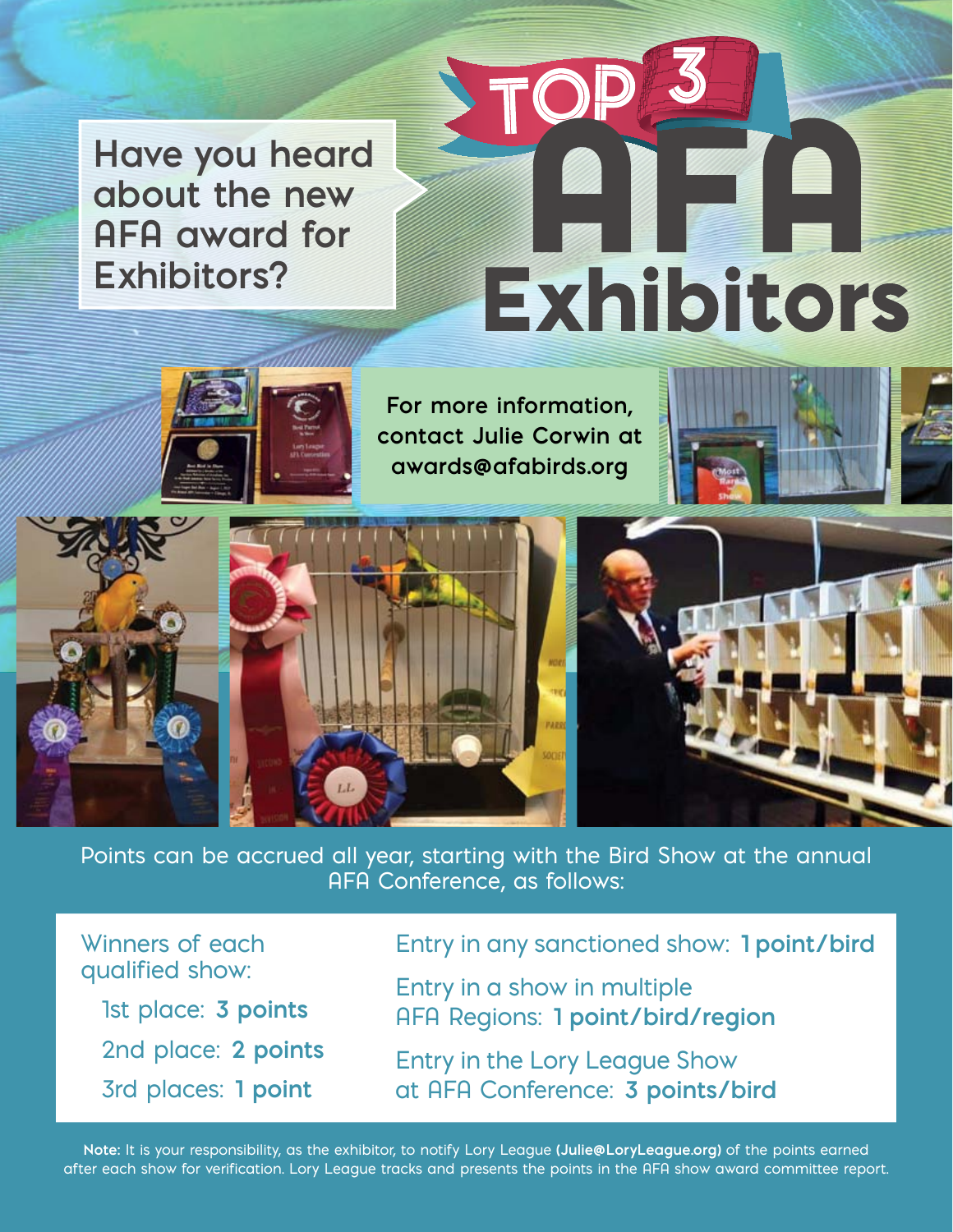**Have you heard about the new AFA award for Exhibitors?**

# TO **Exhibitors**

**For more information, contact Julie Corwin at awards@afabirds.org**



Points can be accrued all year, starting with the Bird Show at the annual AFA Conference, as follows:

Winners of each qualified show:

1st place: **3 points** 2nd place: **2 points** 3rd places: **1 point**

Entry in any sanctioned show: **1 point/bird**

Entry in a show in multiple AFA Regions: **1 point/bird/region**

Entry in the Lory League Show at AFA Conference: **3 points/bird**

**Note:** It is your responsibility, as the exhibitor, to notify Lory League **(Julie@LoryLeague.org)** of the points earned after each show for verification. Lory League tracks and presents the points in the AFA show award committee report.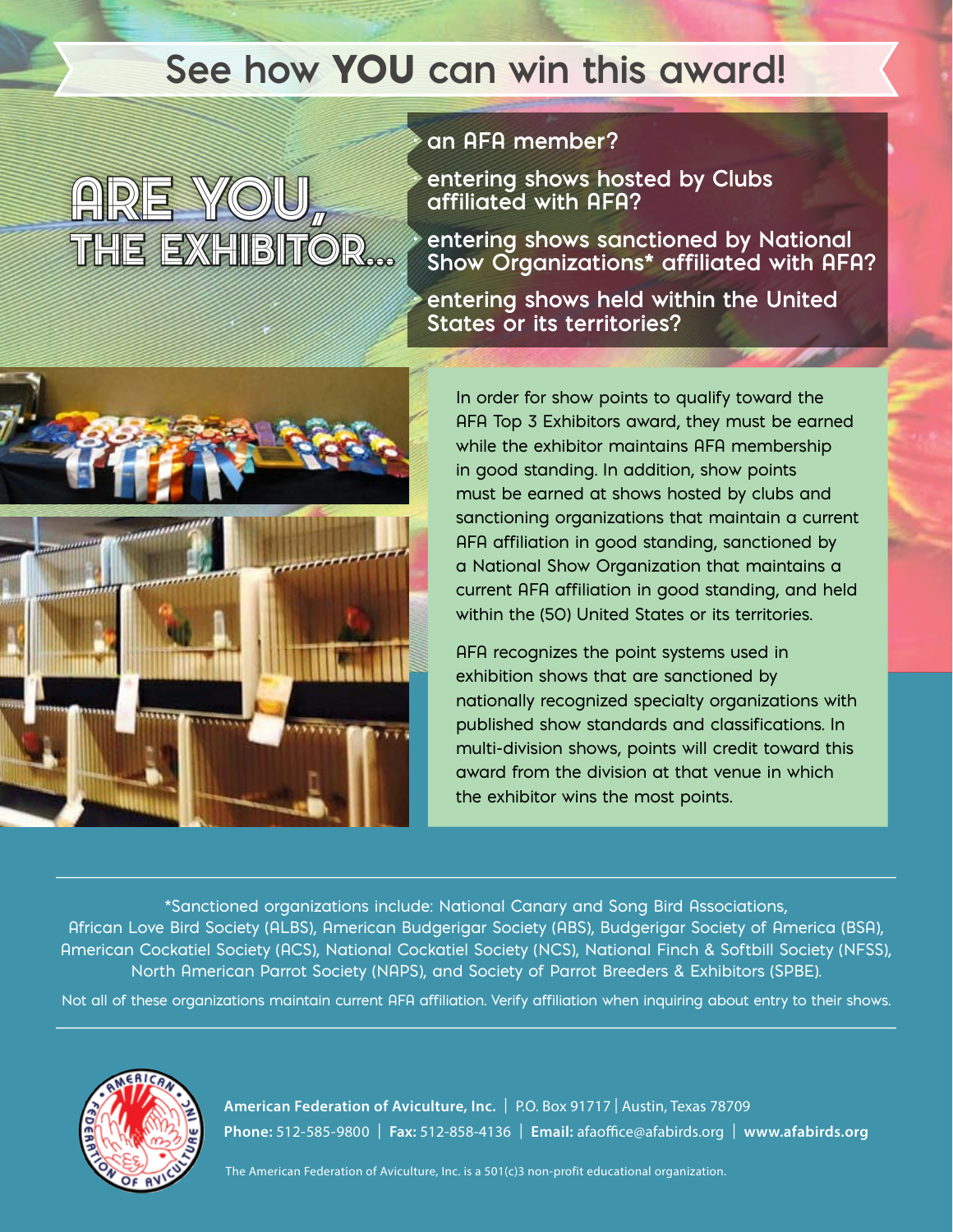## **See how** YOU **can win this award!**

# **ARE YOU** THE EXHIBITOR...

#### **· an AFA member?**

**· entering shows hosted by Clubs affiliated with AFA?** 

**· entering shows sanctioned by National Show Organizations\* affiliated with AFA?** 

**· entering shows held within the United States or its territories?** 



In order for show points to qualify toward the AFA Top 3 Exhibitors award, they must be earned while the exhibitor maintains AFA membership in good standing. In addition, show points must be earned at shows hosted by clubs and sanctioning organizations that maintain a current AFA affiliation in good standing, sanctioned by a National Show Organization that maintains a current AFA affiliation in good standing, and held within the (50) United States or its territories.

AFA recognizes the point systems used in exhibition shows that are sanctioned by nationally recognized specialty organizations with published show standards and classifications. In multi-division shows, points will credit toward this award from the division at that venue in which the exhibitor wins the most points.

\*Sanctioned organizations include: National Canary and Song Bird Associations, African Love Bird Society (ALBS), American Budgerigar Society (ABS), Budgerigar Society of America (BSA), American Cockatiel Society (ACS), National Cockatiel Society (NCS), National Finch & Softbill Society (NFSS), North American Parrot Society (NAPS), and Society of Parrot Breeders & Exhibitors (SPBE).

Not all of these organizations maintain current AFA affiliation. Verify affiliation when inquiring about entry to their shows.



**American Federation of Aviculture, Inc.** | P.O. Box 91717 | Austin, Texas 78709 **Phone:** 512-585-9800 | **Fax:** 512-858-4136 | **Email:** afaofce@afabirds.org | **www.afabirds.org**

The American Federation of Aviculture, Inc. is a 501(c)3 non-profit educational organization.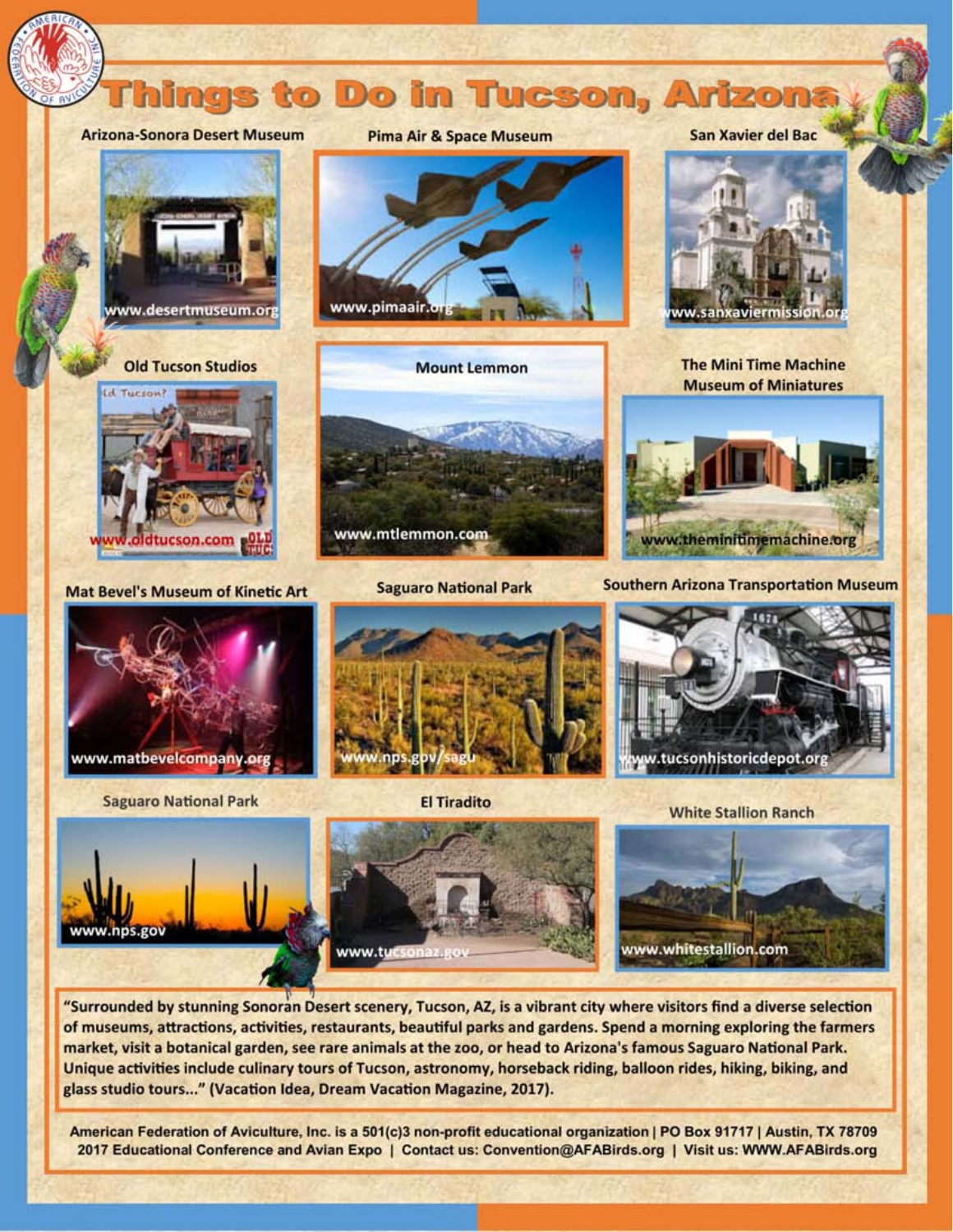

"Surrounded by stunning Sonoran Desert scenery, Tucson, AZ, is a vibrant city where visitors find a diverse selection of museums, attractions, activities, restaurants, beautiful parks and gardens. Spend a morning exploring the farmers market, visit a botanical garden, see rare animals at the zoo, or head to Arizona's famous Saguaro National Park. Unique activities include culinary tours of Tucson, astronomy, horseback riding, balloon rides, hiking, biking, and glass studio tours..." (Vacation Idea, Dream Vacation Magazine, 2017).

American Federation of Aviculture, Inc. is a 501(c)3 non-profit educational organization | PO Box 91717 | Austin, TX 78709 2017 Educational Conference and Avian Expo | Contact us: Convention@AFABirds.org | Visit us: WWW.AFABirds.org